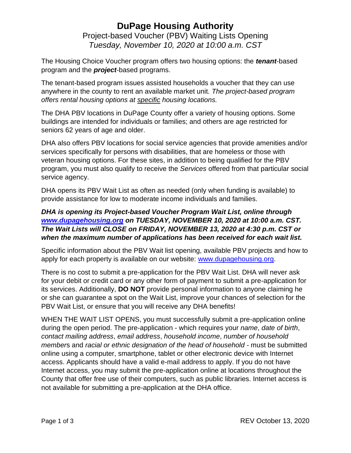## **DuPage Housing Authority** Project-based Voucher (PBV) Waiting Lists Opening *Tuesday, November 10, 2020 at 10:00 a.m. CST*

The Housing Choice Voucher program offers two housing options: the *tenant*-based program and the *project*-based programs.

The tenant-based program issues assisted households a voucher that they can use anywhere in the county to rent an available market unit. *The project-based program offers rental housing options at specific housing locations.*

The DHA PBV locations in DuPage County offer a variety of housing options. Some buildings are intended for individuals or families; and others are age restricted for seniors 62 years of age and older.

DHA also offers PBV locations for social service agencies that provide amenities and/or services specifically for persons with disabilities, that are homeless or those with veteran housing options. For these sites, in addition to being qualified for the PBV program, you must also qualify to receive the *Services* offered from that particular social service agency.

DHA opens its PBV Wait List as often as needed (only when funding is available) to provide assistance for low to moderate income individuals and families.

#### *DHA is opening its Project-based Voucher Program Wait List, online through [www.dupagehousing.org](http://www.dupagehousing.org/) on TUESDAY, NOVEMBER 10, 2020 at 10:00 a.m. CST. The Wait Lists will CLOSE on FRIDAY, NOVEMBER 13, 2020 at 4:30 p.m. CST or when the maximum number of applications has been received for each wait list.*

Specific information about the PBV Wait list opening, available PBV projects and how to apply for each property is available on our website: [www.dupagehousing.org.](http://www.dupagehousing.org/)

There is no cost to submit a pre-application for the PBV Wait List. DHA will never ask for your debit or credit card or any other form of payment to submit a pre-application for its services. Additionally, **DO NOT** provide personal information to anyone claiming he or she can guarantee a spot on the Wait List, improve your chances of selection for the PBV Wait List, or ensure that you will receive any DHA benefits!

WHEN THE WAIT LIST OPENS, you must successfully submit a pre-application online during the open period. The pre-application - which requires your *name*, *date of birth*, *contact mailing address*, *email address*, *household income*, *number of household members* and *racial or ethnic designation of the head of household - must be submitted* online using a computer, smartphone, tablet or other electronic device with Internet access. Applicants should have a valid e-mail address to apply. If you do not have Internet access, you may submit the pre-application online at locations throughout the County that offer free use of their computers, such as public libraries. Internet access is not available for submitting a pre-application at the DHA office.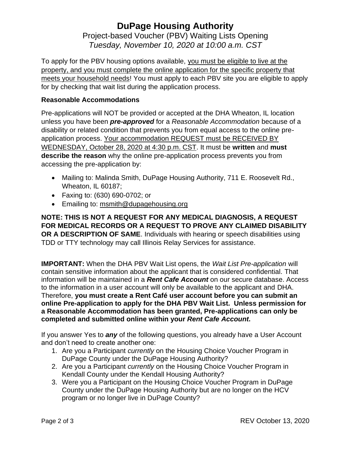## **DuPage Housing Authority** Project-based Voucher (PBV) Waiting Lists Opening *Tuesday, November 10, 2020 at 10:00 a.m. CST*

To apply for the PBV housing options available, you must be eligible to live at the property, and you must complete the online application for the specific property that meets your household needs! You must apply to each PBV site you are eligible to apply for by checking that wait list during the application process.

#### **Reasonable Accommodations**

Pre-applications will NOT be provided or accepted at the DHA Wheaton, IL location unless you have been *pre-approved* for a *Reasonable Accommodation* because of a disability or related condition that prevents you from equal access to the online preapplication process. Your accommodation REQUEST must be RECEIVED BY WEDNESDAY, October 28, 2020 at 4:30 p.m. CST. It must be **written** and **must describe the reason** why the online pre-application process prevents you from accessing the pre-application by:

- Mailing to: Malinda Smith, DuPage Housing Authority, 711 E. Roosevelt Rd., Wheaton, IL 60187;
- Faxing to: (630) 690-0702; or
- Emailing to: msmith@dupagehousing.org

**NOTE: THIS IS NOT A REQUEST FOR ANY MEDICAL DIAGNOSIS, A REQUEST FOR MEDICAL RECORDS OR A REQUEST TO PROVE ANY CLAIMED DISABILITY OR A DESCRIPTION OF SAME**. Individuals with hearing or speech disabilities using TDD or TTY technology may call Illinois Relay Services for assistance.

**IMPORTANT:** When the DHA PBV Wait List opens, the *Wait List Pre-application* will contain sensitive information about the applicant that is considered confidential. That information will be maintained in a *Rent Cafe Account* on our secure database. Access to the information in a user account will only be available to the applicant and DHA. Therefore, **you must create a Rent Café user account before you can submit an online Pre-application to apply for the DHA PBV Wait List. Unless permission for a Reasonable Accommodation has been granted, Pre-applications can only be completed and submitted online within your** *Rent Cafe Account***.**

If you answer Yes to *any* of the following questions, you already have a User Account and don't need to create another one:

- 1. Are you a Participant *currently* on the Housing Choice Voucher Program in DuPage County under the DuPage Housing Authority?
- 2. Are you a Participant *currently* on the Housing Choice Voucher Program in Kendall County under the Kendall Housing Authority?
- 3. Were you a Participant on the Housing Choice Voucher Program in DuPage County under the DuPage Housing Authority but are no longer on the HCV program or no longer live in DuPage County?